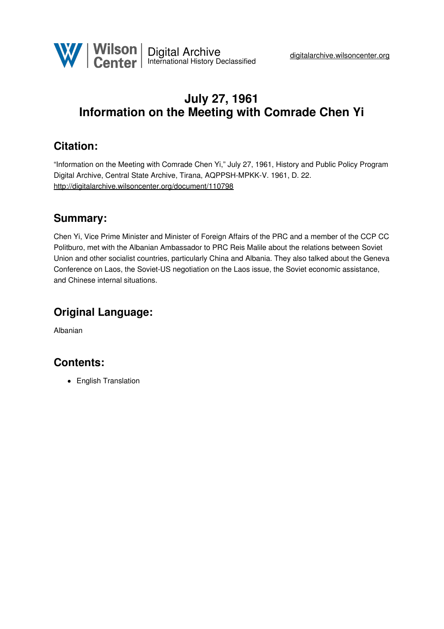

# **July 27, 1961 Information on the Meeting with Comrade Chen Yi**

### **Citation:**

"Information on the Meeting with Comrade Chen Yi," July 27, 1961, History and Public Policy Program Digital Archive, Central State Archive, Tirana, AQPPSH-MPKK-V. 1961, D. 22. <http://digitalarchive.wilsoncenter.org/document/110798>

#### **Summary:**

Chen Yi, Vice Prime Minister and Minister of Foreign Affairs of the PRC and a member of the CCP CC Politburo, met with the Albanian Ambassador to PRC Reis Malile about the relations between Soviet Union and other socialist countries, particularly China and Albania. They also talked about the Geneva Conference on Laos, the Soviet-US negotiation on the Laos issue, the Soviet economic assistance, and Chinese internal situations.

## **Original Language:**

Albanian

## **Contents:**

• English Translation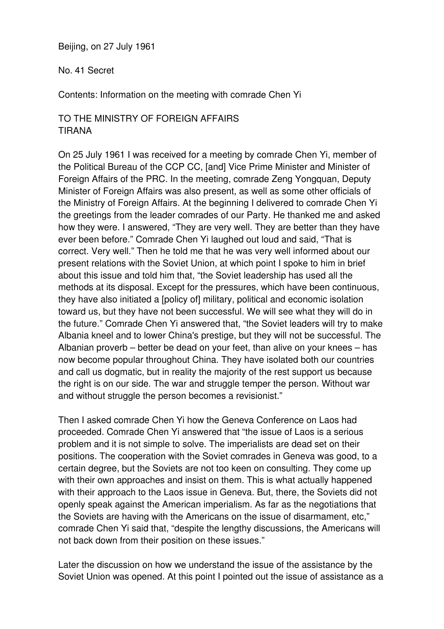Beijing, on 27 July 1961

No. 41 Secret

Contents: Information on the meeting with comrade Chen Yi

#### TO THE MINISTRY OF FOREIGN AFFAIRS TIRANA

On 25 July 1961 I was received for a meeting by comrade Chen Yi, member of the Political Bureau of the CCP CC, [and] Vice Prime Minister and Minister of Foreign Affairs of the PRC. In the meeting, comrade Zeng Yongquan, Deputy Minister of Foreign Affairs was also present, as well as some other officials of the Ministry of Foreign Affairs. At the beginning I delivered to comrade Chen Yi the greetings from the leader comrades of our Party. He thanked me and asked how they were. I answered, "They are very well. They are better than they have ever been before." Comrade Chen Yi laughed out loud and said, "That is correct. Very well." Then he told me that he was very well informed about our present relations with the Soviet Union, at which point I spoke to him in brief about this issue and told him that, "the Soviet leadership has used all the methods at its disposal. Except for the pressures, which have been continuous, they have also initiated a [policy of] military, political and economic isolation toward us, but they have not been successful. We will see what they will do in the future." Comrade Chen Yi answered that, "the Soviet leaders will try to make Albania kneel and to lower China's prestige, but they will not be successful. The Albanian proverb – better be dead on your feet, than alive on your knees – has now become popular throughout China. They have isolated both our countries and call us dogmatic, but in reality the majority of the rest support us because the right is on our side. The war and struggle temper the person. Without war and without struggle the person becomes a revisionist."

Then I asked comrade Chen Yi how the Geneva Conference on Laos had proceeded. Comrade Chen Yi answered that "the issue of Laos is a serious problem and it is not simple to solve. The imperialists are dead set on their positions. The cooperation with the Soviet comrades in Geneva was good, to a certain degree, but the Soviets are not too keen on consulting. They come up with their own approaches and insist on them. This is what actually happened with their approach to the Laos issue in Geneva. But, there, the Soviets did not openly speak against the American imperialism. As far as the negotiations that the Soviets are having with the Americans on the issue of disarmament, etc," comrade Chen Yi said that, "despite the lengthy discussions, the Americans will not back down from their position on these issues."

Later the discussion on how we understand the issue of the assistance by the Soviet Union was opened. At this point I pointed out the issue of assistance as a